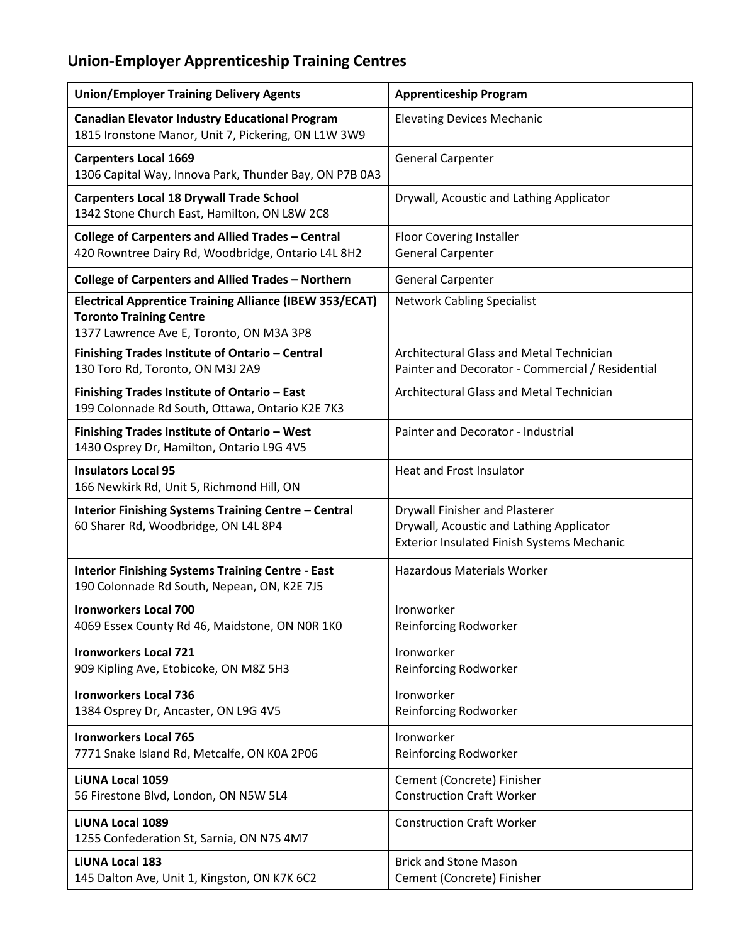## **Union-Employer Apprenticeship Training Centres**

| <b>Union/Employer Training Delivery Agents</b>                                                                                               | <b>Apprenticeship Program</b>                                                                                                   |
|----------------------------------------------------------------------------------------------------------------------------------------------|---------------------------------------------------------------------------------------------------------------------------------|
| <b>Canadian Elevator Industry Educational Program</b><br>1815 Ironstone Manor, Unit 7, Pickering, ON L1W 3W9                                 | <b>Elevating Devices Mechanic</b>                                                                                               |
| <b>Carpenters Local 1669</b><br>1306 Capital Way, Innova Park, Thunder Bay, ON P7B 0A3                                                       | <b>General Carpenter</b>                                                                                                        |
| <b>Carpenters Local 18 Drywall Trade School</b><br>1342 Stone Church East, Hamilton, ON L8W 2C8                                              | Drywall, Acoustic and Lathing Applicator                                                                                        |
| <b>College of Carpenters and Allied Trades - Central</b><br>420 Rowntree Dairy Rd, Woodbridge, Ontario L4L 8H2                               | Floor Covering Installer<br><b>General Carpenter</b>                                                                            |
| <b>College of Carpenters and Allied Trades - Northern</b>                                                                                    | <b>General Carpenter</b>                                                                                                        |
| <b>Electrical Apprentice Training Alliance (IBEW 353/ECAT)</b><br><b>Toronto Training Centre</b><br>1377 Lawrence Ave E, Toronto, ON M3A 3P8 | <b>Network Cabling Specialist</b>                                                                                               |
| Finishing Trades Institute of Ontario - Central<br>130 Toro Rd, Toronto, ON M3J 2A9                                                          | Architectural Glass and Metal Technician<br>Painter and Decorator - Commercial / Residential                                    |
| Finishing Trades Institute of Ontario - East<br>199 Colonnade Rd South, Ottawa, Ontario K2E 7K3                                              | <b>Architectural Glass and Metal Technician</b>                                                                                 |
| Finishing Trades Institute of Ontario - West<br>1430 Osprey Dr, Hamilton, Ontario L9G 4V5                                                    | Painter and Decorator - Industrial                                                                                              |
| <b>Insulators Local 95</b><br>166 Newkirk Rd, Unit 5, Richmond Hill, ON                                                                      | Heat and Frost Insulator                                                                                                        |
| Interior Finishing Systems Training Centre - Central<br>60 Sharer Rd, Woodbridge, ON L4L 8P4                                                 | Drywall Finisher and Plasterer<br>Drywall, Acoustic and Lathing Applicator<br><b>Exterior Insulated Finish Systems Mechanic</b> |
| <b>Interior Finishing Systems Training Centre - East</b><br>190 Colonnade Rd South, Nepean, ON, K2E 7J5                                      | <b>Hazardous Materials Worker</b>                                                                                               |
| <b>Ironworkers Local 700</b><br>4069 Essex County Rd 46, Maidstone, ON NOR 1KO                                                               | Ironworker<br>Reinforcing Rodworker                                                                                             |
| <b>Ironworkers Local 721</b><br>909 Kipling Ave, Etobicoke, ON M8Z 5H3                                                                       | Ironworker<br>Reinforcing Rodworker                                                                                             |
| <b>Ironworkers Local 736</b><br>1384 Osprey Dr, Ancaster, ON L9G 4V5                                                                         | Ironworker<br>Reinforcing Rodworker                                                                                             |
| <b>Ironworkers Local 765</b><br>7771 Snake Island Rd, Metcalfe, ON K0A 2P06                                                                  | Ironworker<br>Reinforcing Rodworker                                                                                             |
| <b>LiUNA Local 1059</b><br>56 Firestone Blvd, London, ON N5W 5L4                                                                             | Cement (Concrete) Finisher<br><b>Construction Craft Worker</b>                                                                  |
| <b>LiUNA Local 1089</b><br>1255 Confederation St, Sarnia, ON N7S 4M7                                                                         | <b>Construction Craft Worker</b>                                                                                                |
| <b>LiUNA Local 183</b><br>145 Dalton Ave, Unit 1, Kingston, ON K7K 6C2                                                                       | <b>Brick and Stone Mason</b><br>Cement (Concrete) Finisher                                                                      |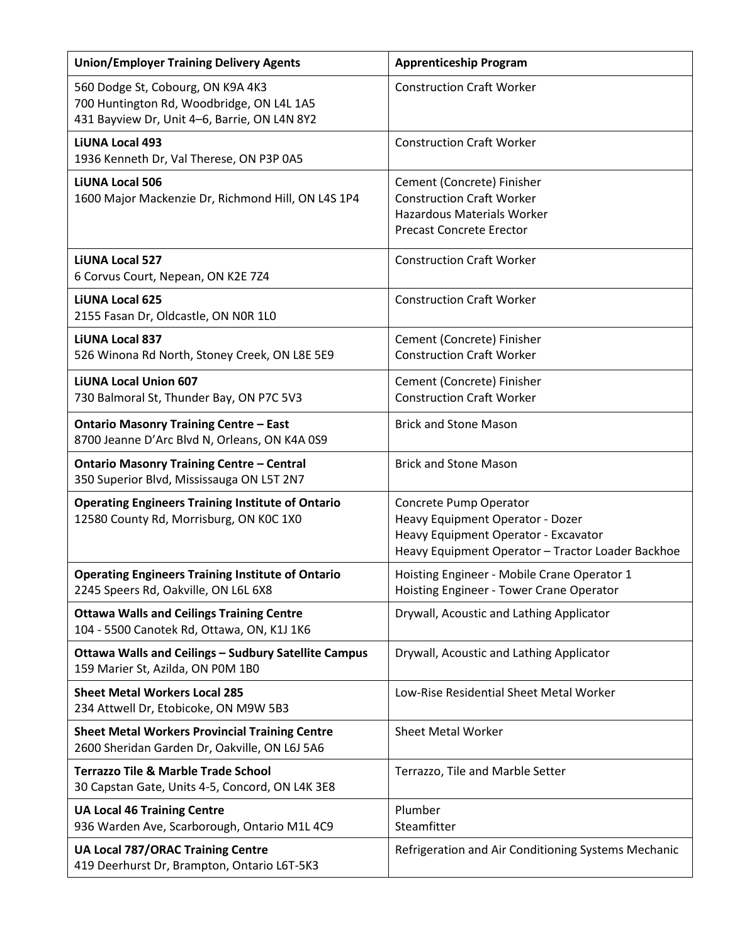| <b>Union/Employer Training Delivery Agents</b>                                                                                 | <b>Apprenticeship Program</b>                                                                                                                           |
|--------------------------------------------------------------------------------------------------------------------------------|---------------------------------------------------------------------------------------------------------------------------------------------------------|
| 560 Dodge St, Cobourg, ON K9A 4K3<br>700 Huntington Rd, Woodbridge, ON L4L 1A5<br>431 Bayview Dr, Unit 4-6, Barrie, ON L4N 8Y2 | <b>Construction Craft Worker</b>                                                                                                                        |
| <b>LiUNA Local 493</b><br>1936 Kenneth Dr, Val Therese, ON P3P 0A5                                                             | <b>Construction Craft Worker</b>                                                                                                                        |
| <b>LiUNA Local 506</b><br>1600 Major Mackenzie Dr, Richmond Hill, ON L4S 1P4                                                   | Cement (Concrete) Finisher<br><b>Construction Craft Worker</b><br><b>Hazardous Materials Worker</b><br><b>Precast Concrete Erector</b>                  |
| <b>LiUNA Local 527</b><br>6 Corvus Court, Nepean, ON K2E 7Z4                                                                   | <b>Construction Craft Worker</b>                                                                                                                        |
| <b>LiUNA Local 625</b><br>2155 Fasan Dr, Oldcastle, ON NOR 1L0                                                                 | <b>Construction Craft Worker</b>                                                                                                                        |
| <b>LiUNA Local 837</b><br>526 Winona Rd North, Stoney Creek, ON L8E 5E9                                                        | Cement (Concrete) Finisher<br><b>Construction Craft Worker</b>                                                                                          |
| <b>LiUNA Local Union 607</b><br>730 Balmoral St, Thunder Bay, ON P7C 5V3                                                       | Cement (Concrete) Finisher<br><b>Construction Craft Worker</b>                                                                                          |
| <b>Ontario Masonry Training Centre - East</b><br>8700 Jeanne D'Arc Blvd N, Orleans, ON K4A 0S9                                 | <b>Brick and Stone Mason</b>                                                                                                                            |
| <b>Ontario Masonry Training Centre - Central</b><br>350 Superior Blvd, Mississauga ON L5T 2N7                                  | <b>Brick and Stone Mason</b>                                                                                                                            |
| <b>Operating Engineers Training Institute of Ontario</b><br>12580 County Rd, Morrisburg, ON KOC 1X0                            | Concrete Pump Operator<br>Heavy Equipment Operator - Dozer<br>Heavy Equipment Operator - Excavator<br>Heavy Equipment Operator - Tractor Loader Backhoe |
| <b>Operating Engineers Training Institute of Ontario</b><br>2245 Speers Rd, Oakville, ON L6L 6X8                               | Hoisting Engineer - Mobile Crane Operator 1<br>Hoisting Engineer - Tower Crane Operator                                                                 |
| <b>Ottawa Walls and Ceilings Training Centre</b><br>104 - 5500 Canotek Rd, Ottawa, ON, K1J 1K6                                 | Drywall, Acoustic and Lathing Applicator                                                                                                                |
| Ottawa Walls and Ceilings - Sudbury Satellite Campus<br>159 Marier St, Azilda, ON POM 1BO                                      | Drywall, Acoustic and Lathing Applicator                                                                                                                |
| <b>Sheet Metal Workers Local 285</b><br>234 Attwell Dr, Etobicoke, ON M9W 5B3                                                  | Low-Rise Residential Sheet Metal Worker                                                                                                                 |
| <b>Sheet Metal Workers Provincial Training Centre</b><br>2600 Sheridan Garden Dr, Oakville, ON L6J 5A6                         | <b>Sheet Metal Worker</b>                                                                                                                               |
| <b>Terrazzo Tile &amp; Marble Trade School</b><br>30 Capstan Gate, Units 4-5, Concord, ON L4K 3E8                              | Terrazzo, Tile and Marble Setter                                                                                                                        |
| <b>UA Local 46 Training Centre</b><br>936 Warden Ave, Scarborough, Ontario M1L 4C9                                             | Plumber<br>Steamfitter                                                                                                                                  |
| <b>UA Local 787/ORAC Training Centre</b><br>419 Deerhurst Dr, Brampton, Ontario L6T-5K3                                        | Refrigeration and Air Conditioning Systems Mechanic                                                                                                     |